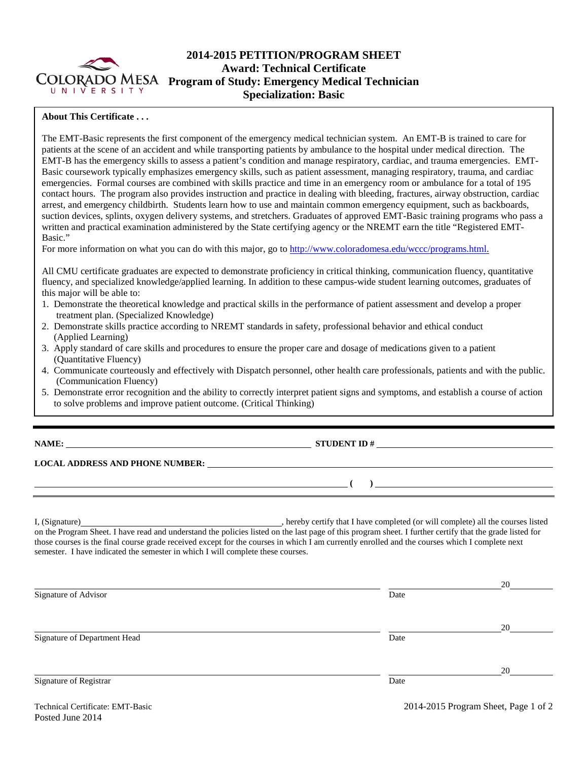

# **2014-2015 PETITION/PROGRAM SHEET Award: Technical Certificate Program of Study: Emergency Medical Technician Specialization: Basic**

### **About This Certificate . . .**

The EMT-Basic represents the first component of the emergency medical technician system. An EMT-B is trained to care for patients at the scene of an accident and while transporting patients by ambulance to the hospital under medical direction. The EMT-B has the emergency skills to assess a patient's condition and manage respiratory, cardiac, and trauma emergencies. EMT-Basic coursework typically emphasizes emergency skills, such as patient assessment, managing respiratory, trauma, and cardiac emergencies. Formal courses are combined with skills practice and time in an emergency room or ambulance for a total of 195 contact hours. The program also provides instruction and practice in dealing with bleeding, fractures, airway obstruction, cardiac arrest, and emergency childbirth. Students learn how to use and maintain common emergency equipment, such as backboards, suction devices, splints, oxygen delivery systems, and stretchers. Graduates of approved EMT-Basic training programs who pass a written and practical examination administered by the State certifying agency or the NREMT earn the title "Registered EMT-Basic."

For more information on what you can do with this major, go to [http://www.coloradomesa.edu/wccc/programs.html.](http://www.coloradomesa.edu/wccc/programs.html)

All CMU certificate graduates are expected to demonstrate proficiency in critical thinking, communication fluency, quantitative fluency, and specialized knowledge/applied learning. In addition to these campus-wide student learning outcomes, graduates of this major will be able to:

- 1. Demonstrate the theoretical knowledge and practical skills in the performance of patient assessment and develop a proper treatment plan. (Specialized Knowledge)
- 2. Demonstrate skills practice according to NREMT standards in safety, professional behavior and ethical conduct (Applied Learning)
- 3. Apply standard of care skills and procedures to ensure the proper care and dosage of medications given to a patient (Quantitative Fluency)
- 4. Communicate courteously and effectively with Dispatch personnel, other health care professionals, patients and with the public. (Communication Fluency)
- 5. Demonstrate error recognition and the ability to correctly interpret patient signs and symptoms, and establish a course of action to solve problems and improve patient outcome. (Critical Thinking)

**NAME: STUDENT ID #** 

**LOCAL ADDRESS AND PHONE NUMBER:**

I, (Signature) **Solution** , hereby certify that I have completed (or will complete) all the courses listed on the Program Sheet. I have read and understand the policies listed on the last page of this program sheet. I further certify that the grade listed for those courses is the final course grade received except for the courses in which I am currently enrolled and the courses which I complete next semester. I have indicated the semester in which I will complete these courses.

|      | 20 |
|------|----|
| Date |    |
|      |    |
|      | 20 |
| Date |    |
|      |    |
|      | 20 |
| Date |    |
|      |    |
|      |    |

**( )**